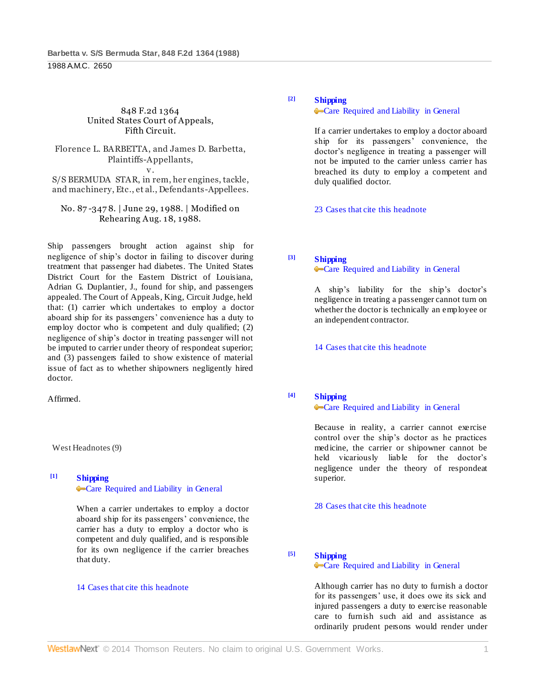#### 848 F.2d 1364 United States Court of Appeals, Fifth Circuit.

#### Florence L. BARBETTA, and James D. Barbetta, Plaintiffs-Appellants, v.

S/S BERMUDA STAR, in rem, her engines, tackle, and machinery, Etc., et al., Defendants-Appellees.

## No. 87 -347 8. | June 29, 1988. | Modified on Rehearing Aug. 18, 1988.

Ship passengers brought action against ship for negligence of ship's doctor in failing to discover during treatment that passenger had diabetes. The United States District Court for the Eastern District of Louisiana, Adrian G. Duplantier, J., found for ship, and passengers appealed. The Court of Appeals, King, Circuit Judge, held that: (1) carrier which undertakes to employ a doctor aboard ship for its passengers' convenience has a duty to employ doctor who is competent and duly qualified; (2) negligence of ship's doctor in treating passenger will not be imputed to carrier under theory of respondeat superior; and (3) passengers failed to show existence of material issue of fact as to whether shipowners negligently hired doctor.

Affirmed.

West Headnotes (9)

## **[1] [Shipping](http://www.westlaw.com/Browse/Home/KeyNumber/354/View.html?docGuid=I6c4bbad7958d11d9bdd1cfdd544ca3a4&originationContext=document&vr=3.0&rs=cblt1.0&transitionType=DocumentItem&contextData=(sc.Default))**

**[Care Required and Liability in General](http://www.westlaw.com/Browse/Home/KeyNumber/354k166(1)/View.html?docGuid=I6c4bbad7958d11d9bdd1cfdd544ca3a4&originationContext=document&vr=3.0&rs=cblt1.0&transitionType=DocumentItem&contextData=(sc.Default))** 

When a carrier undertakes to employ a doctor aboard ship for its passengers' convenience, the carrier has a duty to employ a doctor who is competent and duly qualified, and is responsible for its own negligence if the carrier breaches that duty.

## [14 Cases that cite this headnote](http://www.westlaw.com/Link/RelatedInformation/DocHeadnoteLink?docGuid=I6c4bbad7958d11d9bdd1cfdd544ca3a4&headnoteId=198808510300120050603081915&originationContext=document&vr=3.0&rs=cblt1.0&transitionType=CitingReferences&contextData=(sc.Default))

# **[2] [Shipping](http://www.westlaw.com/Browse/Home/KeyNumber/354/View.html?docGuid=I6c4bbad7958d11d9bdd1cfdd544ca3a4&originationContext=document&vr=3.0&rs=cblt1.0&transitionType=DocumentItem&contextData=(sc.Default))**

#### **[Care Required and Liability in General](http://www.westlaw.com/Browse/Home/KeyNumber/354k166(1)/View.html?docGuid=I6c4bbad7958d11d9bdd1cfdd544ca3a4&originationContext=document&vr=3.0&rs=cblt1.0&transitionType=DocumentItem&contextData=(sc.Default))**

If a carrier undertakes to employ a doctor aboard ship for its passengers' convenience, the doctor's negligence in treating a passenger will not be imputed to the carrier unless carrier has breached its duty to employ a competent and duly qualified doctor.

[23 Cases that cite this headnote](http://www.westlaw.com/Link/RelatedInformation/DocHeadnoteLink?docGuid=I6c4bbad7958d11d9bdd1cfdd544ca3a4&headnoteId=198808510300220050603081915&originationContext=document&vr=3.0&rs=cblt1.0&transitionType=CitingReferences&contextData=(sc.Default))

# **[3] [Shipping](http://www.westlaw.com/Browse/Home/KeyNumber/354/View.html?docGuid=I6c4bbad7958d11d9bdd1cfdd544ca3a4&originationContext=document&vr=3.0&rs=cblt1.0&transitionType=DocumentItem&contextData=(sc.Default))**

## **[Care Required and Liability in General](http://www.westlaw.com/Browse/Home/KeyNumber/354k166(1)/View.html?docGuid=I6c4bbad7958d11d9bdd1cfdd544ca3a4&originationContext=document&vr=3.0&rs=cblt1.0&transitionType=DocumentItem&contextData=(sc.Default))**

A ship's liability for the ship's doctor's negligence in treating a passenger cannot turn on whether the doctor is technically an employee or an independent contractor.

[14 Cases that cite this headnote](http://www.westlaw.com/Link/RelatedInformation/DocHeadnoteLink?docGuid=I6c4bbad7958d11d9bdd1cfdd544ca3a4&headnoteId=198808510300320050603081915&originationContext=document&vr=3.0&rs=cblt1.0&transitionType=CitingReferences&contextData=(sc.Default))

# **[4] [Shipping](http://www.westlaw.com/Browse/Home/KeyNumber/354/View.html?docGuid=I6c4bbad7958d11d9bdd1cfdd544ca3a4&originationContext=document&vr=3.0&rs=cblt1.0&transitionType=DocumentItem&contextData=(sc.Default))**

# **[Care Required and Liability in General](http://www.westlaw.com/Browse/Home/KeyNumber/354k166(1)/View.html?docGuid=I6c4bbad7958d11d9bdd1cfdd544ca3a4&originationContext=document&vr=3.0&rs=cblt1.0&transitionType=DocumentItem&contextData=(sc.Default))**

Because in reality, a carrier cannot exercise control over the ship's doctor as he practices medicine, the carrier or shipowner cannot be held vicariously liable for the doctor's negligence under the theory of respondeat superior.

[28 Cases that cite this headnote](http://www.westlaw.com/Link/RelatedInformation/DocHeadnoteLink?docGuid=I6c4bbad7958d11d9bdd1cfdd544ca3a4&headnoteId=198808510300420050603081915&originationContext=document&vr=3.0&rs=cblt1.0&transitionType=CitingReferences&contextData=(sc.Default))

**[5] [Shipping](http://www.westlaw.com/Browse/Home/KeyNumber/354/View.html?docGuid=I6c4bbad7958d11d9bdd1cfdd544ca3a4&originationContext=document&vr=3.0&rs=cblt1.0&transitionType=DocumentItem&contextData=(sc.Default))**

# [Care Required and Liability in General](http://www.westlaw.com/Browse/Home/KeyNumber/354k166(1)/View.html?docGuid=I6c4bbad7958d11d9bdd1cfdd544ca3a4&originationContext=document&vr=3.0&rs=cblt1.0&transitionType=DocumentItem&contextData=(sc.Default))

Although carrier has no duty to furnish a doctor for its passengers' use, it does owe its sick and injured passengers a duty to exercise reasonable care to furnish such aid and assistance as ordinarily prudent persons would render under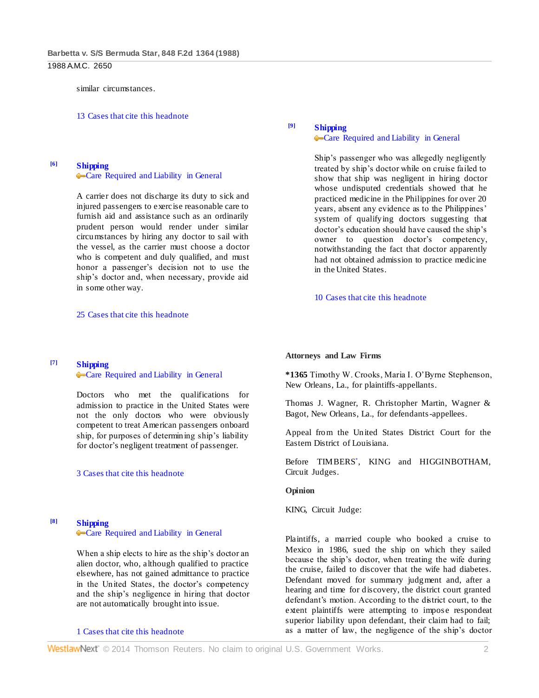similar circumstances.

[13 Cases that cite this headnote](http://www.westlaw.com/Link/RelatedInformation/DocHeadnoteLink?docGuid=I6c4bbad7958d11d9bdd1cfdd544ca3a4&headnoteId=198808510300520050603081915&originationContext=document&vr=3.0&rs=cblt1.0&transitionType=CitingReferences&contextData=(sc.Default))

**[6] [Shipping](http://www.westlaw.com/Browse/Home/KeyNumber/354/View.html?docGuid=I6c4bbad7958d11d9bdd1cfdd544ca3a4&originationContext=document&vr=3.0&rs=cblt1.0&transitionType=DocumentItem&contextData=(sc.Default))**

#### **[Care Required and Liability in General](http://www.westlaw.com/Browse/Home/KeyNumber/354k166(1)/View.html?docGuid=I6c4bbad7958d11d9bdd1cfdd544ca3a4&originationContext=document&vr=3.0&rs=cblt1.0&transitionType=DocumentItem&contextData=(sc.Default))**

A carrier does not discharge its duty to sick and injured passengers to exercise reasonable care to furnish aid and assistance such as an ordinarily prudent person would render under similar circumstances by hiring any doctor to sail with the vessel, as the carrier must choose a doctor who is competent and duly qualified, and must honor a passenger's decision not to use the ship's doctor and, when necessary, provide aid in some other way.

[25 Cases that cite this headnote](http://www.westlaw.com/Link/RelatedInformation/DocHeadnoteLink?docGuid=I6c4bbad7958d11d9bdd1cfdd544ca3a4&headnoteId=198808510300620050603081915&originationContext=document&vr=3.0&rs=cblt1.0&transitionType=CitingReferences&contextData=(sc.Default))

## **[7] [Shipping](http://www.westlaw.com/Browse/Home/KeyNumber/354/View.html?docGuid=I6c4bbad7958d11d9bdd1cfdd544ca3a4&originationContext=document&vr=3.0&rs=cblt1.0&transitionType=DocumentItem&contextData=(sc.Default))**

#### [Care Required and Liability in General](http://www.westlaw.com/Browse/Home/KeyNumber/354k166(1)/View.html?docGuid=I6c4bbad7958d11d9bdd1cfdd544ca3a4&originationContext=document&vr=3.0&rs=cblt1.0&transitionType=DocumentItem&contextData=(sc.Default))

Doctors who met the qualifications for admission to practice in the United States were not the only doctors who were obviously competent to treat American passengers onboard ship, for purposes of determining ship's liability for doctor's negligent treatment of passenger.

## [3 Cases that cite this headnote](http://www.westlaw.com/Link/RelatedInformation/DocHeadnoteLink?docGuid=I6c4bbad7958d11d9bdd1cfdd544ca3a4&headnoteId=198808510300720050603081915&originationContext=document&vr=3.0&rs=cblt1.0&transitionType=CitingReferences&contextData=(sc.Default))

### **[8] [Shipping](http://www.westlaw.com/Browse/Home/KeyNumber/354/View.html?docGuid=I6c4bbad7958d11d9bdd1cfdd544ca3a4&originationContext=document&vr=3.0&rs=cblt1.0&transitionType=DocumentItem&contextData=(sc.Default))**

#### [Care Required and Liability in General](http://www.westlaw.com/Browse/Home/KeyNumber/354k166(1)/View.html?docGuid=I6c4bbad7958d11d9bdd1cfdd544ca3a4&originationContext=document&vr=3.0&rs=cblt1.0&transitionType=DocumentItem&contextData=(sc.Default))

When a ship elects to hire as the ship's doctor an alien doctor, who, although qualified to practice elsewhere, has not gained admittance to practice in the United States, the doctor's competency and the ship's negligence in hiring that doctor are not automatically brought into issue.

### [1 Cases that cite this headnote](http://www.westlaw.com/Link/RelatedInformation/DocHeadnoteLink?docGuid=I6c4bbad7958d11d9bdd1cfdd544ca3a4&headnoteId=198808510300820050603081915&originationContext=document&vr=3.0&rs=cblt1.0&transitionType=CitingReferences&contextData=(sc.Default))

# **[9] [Shipping](http://www.westlaw.com/Browse/Home/KeyNumber/354/View.html?docGuid=I6c4bbad7958d11d9bdd1cfdd544ca3a4&originationContext=document&vr=3.0&rs=cblt1.0&transitionType=DocumentItem&contextData=(sc.Default))**

#### **[Care Required and Liability in General](http://www.westlaw.com/Browse/Home/KeyNumber/354k166(1)/View.html?docGuid=I6c4bbad7958d11d9bdd1cfdd544ca3a4&originationContext=document&vr=3.0&rs=cblt1.0&transitionType=DocumentItem&contextData=(sc.Default))**

Ship's passenger who was allegedly negligently treated by ship's doctor while on cruise failed to show that ship was negligent in hiring doctor whose undisputed credentials showed that he practiced medicine in the Philippines for over 20 years, absent any evidence as to the Philippines' system of qualifying doctors suggesting that doctor's education should have caused the ship's owner to question doctor's competency, notwithstanding the fact that doctor apparently had not obtained admission to practice medicine in the United States.

[10 Cases that cite this headnote](http://www.westlaw.com/Link/RelatedInformation/DocHeadnoteLink?docGuid=I6c4bbad7958d11d9bdd1cfdd544ca3a4&headnoteId=198808510300920050603081915&originationContext=document&vr=3.0&rs=cblt1.0&transitionType=CitingReferences&contextData=(sc.Default))

#### **Attorneys and Law Firms**

**\*1365** Timothy W. Crooks, Maria I. O'Byrne Stephenson, New Orleans, La., for plaintiffs-appellants.

Thomas J. Wagner, R. Christopher Martin, Wagner & Bagot, New Orleans, La., for defendants-appellees.

Appeal from the United States District Court for the Eastern District of Louisiana.

Before TIMBERS\* , KING and HIGGINBOTHAM, Circuit Judges.

#### **Opinion**

KING, Circuit Judge:

Plaintiffs, a married couple who booked a cruise to Mexico in 1986, sued the ship on which they sailed because the ship's doctor, when treating the wife during the cruise, failed to discover that the wife had diabetes. Defendant moved for summary judgment and, after a hearing and time for discovery, the district court granted defendant's motion. According to the district court, to the extent plaintiffs were attempting to impose respondeat superior liability upon defendant, their claim had to fail; as a matter of law, the negligence of the ship's doctor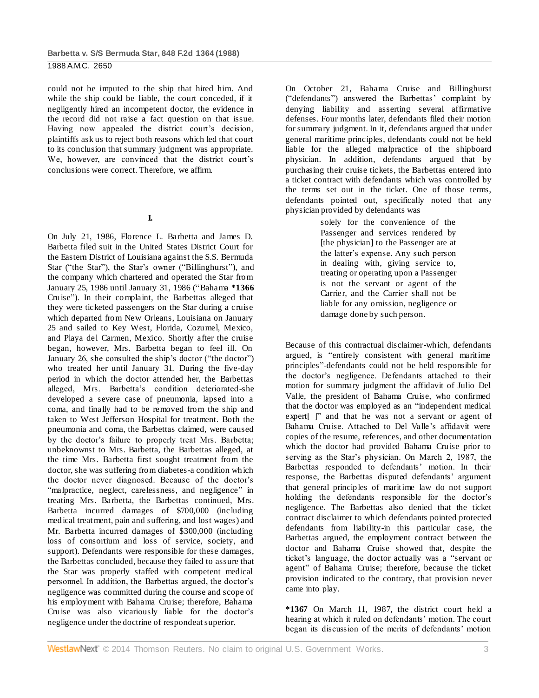could not be imputed to the ship that hired him. And while the ship could be liable, the court conceded, if it negligently hired an incompetent doctor, the evidence in the record did not raise a fact question on that issue. Having now appealed the district court's decision, plaintiffs ask us to reject both reasons which led that court to its conclusion that summary judgment was appropriate. We, however, are convinced that the district court's conclusions were correct. Therefore, we affirm.

# **I.**

On July 21, 1986, Florence L. Barbetta and James D. Barbetta filed suit in the United States District Court for the Eastern District of Louisiana against the S.S. Bermuda Star ("the Star"), the Star's owner ("Billinghurst"), and the company which chartered and operated the Star from January 25, 1986 until January 31, 1986 ("Bahama **\*1366** Cruise"). In their complaint, the Barbettas alleged that they were ticketed passengers on the Star during a cruise which departed from New Orleans, Louisiana on January 25 and sailed to Key West, Florida, Cozumel, Mexico, and Playa del Carmen, Mexico. Shortly after the cruise began, however, Mrs. Barbetta began to feel ill. On January 26, she consulted the ship's doctor ("the doctor") who treated her until January 31. During the five-day period in which the doctor attended her, the Barbettas alleged, Mrs. Barbetta's condition deteriorated-she developed a severe case of pneumonia, lapsed into a coma, and finally had to be removed from the ship and taken to West Jefferson Hospital for treatment. Both the pneumonia and coma, the Barbettas claimed, were caused by the doctor's failure to properly treat Mrs. Barbetta; unbeknownst to Mrs. Barbetta, the Barbettas alleged, at the time Mrs. Barbetta first sought treatment from the doctor, she was suffering from diabetes-a condition which the doctor never diagnosed. Because of the doctor's "malpractice, neglect, carelessness, and negligence" in treating Mrs. Barbetta, the Barbettas continued, Mrs. Barbetta incurred damages of \$700,000 (including medical treatment, pain and suffering, and lost wages) and Mr. Barbetta incurred damages of \$300,000 (including loss of consortium and loss of service, society, and support). Defendants were responsible for these damages, the Barbettas concluded, because they failed to assure that the Star was properly staffed with competent medical personnel. In addition, the Barbettas argued, the doctor's negligence was committed during the course and scope of his employment with Bahama Cruise; therefore, Bahama Cruise was also vicariously liable for the doctor's negligence under the doctrine of respondeat superior.

On October 21, Bahama Cruise and Billinghurst ("defendants") answered the Barbettas' complaint by denying liability and asserting several affirmative defenses. Four months later, defendants filed their motion for summary judgment. In it, defendants argued that under general maritime principles, defendants could not be held liable for the alleged malpractice of the shipboard physician. In addition, defendants argued that by purchasing their cruise tickets, the Barbettas entered into a ticket contract with defendants which was controlled by the terms set out in the ticket. One of those terms, defendants pointed out, specifically noted that any physician provided by defendants was

> solely for the convenience of the Passenger and services rendered by [the physician] to the Passenger are at the latter's expense. Any such person in dealing with, giving service to, treating or operating upon a Passenger is not the servant or agent of the Carrier, and the Carrier shall not be liable for any omission, negligence or damage done by such person.

Because of this contractual disclaimer-which, defendants argued, is "entirely consistent with general maritime principles"-defendants could not be held responsible for the doctor's negligence. Defendants attached to their motion for summary judgment the affidavit of Julio Del Valle, the president of Bahama Cruise, who confirmed that the doctor was employed as an "independent medical expert |" and that he was not a servant or agent of Bahama Cruise. Attached to Del Valle's affidavit were copies of the resume, references, and other documentation which the doctor had provided Bahama Cruise prior to serving as the Star's physician. On March 2, 1987, the Barbettas responded to defendants' motion. In their response, the Barbettas disputed defendants' argument that general principles of maritime law do not support holding the defendants responsible for the doctor's negligence. The Barbettas also denied that the ticket contract disclaimer to which defendants pointed protected defendants from liability-in this particular case, the Barbettas argued, the employment contract between the doctor and Bahama Cruise showed that, despite the ticket's language, the doctor actually was a "servant or agent" of Bahama Cruise; therefore, because the ticket provision indicated to the contrary, that provision never came into play.

**\*1367** On March 11, 1987, the district court held a hearing at which it ruled on defendants' motion. The court began its discussion of the merits of defendants' motion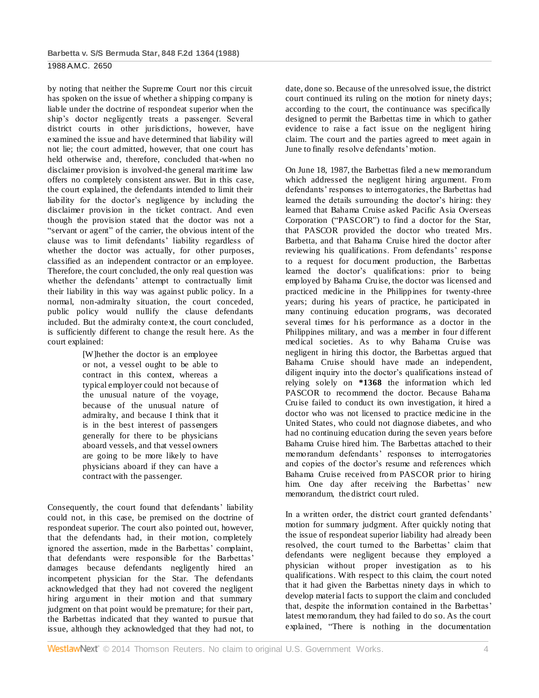by noting that neither the Supreme Court nor this circuit has spoken on the issue of whether a shipping company is liable under the doctrine of respondeat superior when the ship's doctor negligently treats a passenger. Several district courts in other jurisdictions, however, have examined the issue and have determined that liability will not lie; the court admitted, however, that one court has held otherwise and, therefore, concluded that-when no disclaimer provision is involved-the general maritime law offers no completely consistent answer. But in this case, the court explained, the defendants intended to limit their liability for the doctor's negligence by including the disclaimer provision in the ticket contract. And even though the provision stated that the doctor was not a "servant or agent" of the carrier, the obvious intent of the clause was to limit defendants' liability regardless of whether the doctor was actually, for other purposes, classified as an independent contractor or an employee. Therefore, the court concluded, the only real question was whether the defendants' attempt to contractually limit their liability in this way was against public policy. In a normal, non-admiralty situation, the court conceded, public policy would nullify the clause defendants included. But the admiralty context, the court concluded, is sufficiently different to change the result here. As the court explained:

> [W]hether the doctor is an employee or not, a vessel ought to be able to contract in this context, whereas a typical employer could not because of the unusual nature of the voyage, because of the unusual nature of admiralty, and because I think that it is in the best interest of passengers generally for there to be physicians aboard vessels, and that vessel owners are going to be more likely to have physicians aboard if they can have a contract with the passenger.

Consequently, the court found that defendants' liability could not, in this case, be premised on the doctrine of respondeat superior. The court also pointed out, however, that the defendants had, in their motion, completely ignored the assertion, made in the Barbettas' complaint, that defendants were responsible for the Barbettas' damages because defendants negligently hired an incompetent physician for the Star. The defendants acknowledged that they had not covered the negligent hiring argument in their motion and that summary judgment on that point would be premature; for their part, the Barbettas indicated that they wanted to pursue that issue, although they acknowledged that they had not, to date, done so. Because of the unresolved issue, the district court continued its ruling on the motion for ninety days; according to the court, the continuance was specifically designed to permit the Barbettas time in which to gather evidence to raise a fact issue on the negligent hiring claim. The court and the parties agreed to meet again in June to finally resolve defendants' motion.

On June 18, 1987, the Barbettas filed a new memorandum which addressed the negligent hiring argument. From defendants' responses to interrogatories, the Barbettas had learned the details surrounding the doctor's hiring: they learned that Bahama Cruise asked Pacific Asia Overseas Corporation ("PASCOR") to find a doctor for the Star, that PASCOR provided the doctor who treated Mrs. Barbetta, and that Bahama Cruise hired the doctor after reviewing his qualifications. From defendants' response to a request for document production, the Barbettas learned the doctor's qualifications: prior to being employed by Bahama Cruise, the doctor was licensed and practiced medicine in the Philippines for twenty-three years; during his years of practice, he participated in many continuing education programs, was decorated several times for his performance as a doctor in the Philippines military, and was a member in four different medical societies. As to why Bahama Cruise was negligent in hiring this doctor, the Barbettas argued that Bahama Cruise should have made an independent, diligent inquiry into the doctor's qualifications instead of relying solely on **\*1368** the information which led PASCOR to recommend the doctor. Because Bahama Cruise failed to conduct its own investigation, it hired a doctor who was not licensed to practice medicine in the United States, who could not diagnose diabetes, and who had no continuing education during the seven years before Bahama Cruise hired him. The Barbettas attached to their memorandum defendants' responses to interrogatories and copies of the doctor's resume and references which Bahama Cruise received from PASCOR prior to hiring him. One day after receiving the Barbettas' new memorandum, the district court ruled.

In a written order, the district court granted defendants' motion for summary judgment. After quickly noting that the issue of respondeat superior liability had already been resolved, the court turned to the Barbettas' claim that defendants were negligent because they employed a physician without proper investigation as to his qualifications. With respect to this claim, the court noted that it had given the Barbettas ninety days in which to develop material facts to support the claim and concluded that, despite the information contained in the Barbettas' latest memorandum, they had failed to do so. As the court explained, "There is nothing in the documentation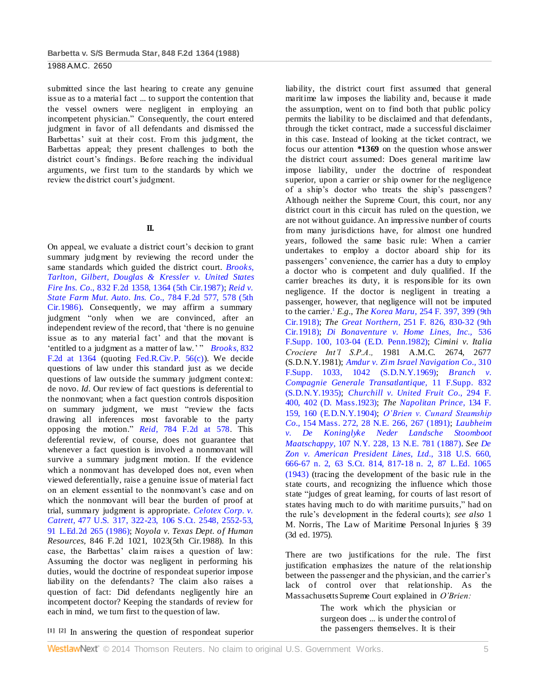submitted since the last hearing to create any genuine issue as to a material fact ... to support the contention that the vessel owners were negligent in employing an incompetent physician." Consequently, the court entered judgment in favor of all defendants and dismissed the Barbettas' suit at their cost. From this judgment, the Barbettas appeal; they present challenges to both the district court's findings. Before reaching the individual arguments, we first turn to the standards by which we review the district court's judgment.

## **II.**

On appeal, we evaluate a district court's decision to grant summary judgment by reviewing the record under the same standards which guided the district court. *[Brooks,](http://www.westlaw.com/Link/Document/FullText?findType=Y&serNum=1987129052&pubNum=350&fi=co_pp_sp_350_1364&originationContext=document&vr=3.0&rs=cblt1.0&transitionType=DocumentItem&contextData=(sc.Default)#co_pp_sp_350_1364)  [Tarlton, Gilbert, Douglas & Kressler v. United States](http://www.westlaw.com/Link/Document/FullText?findType=Y&serNum=1987129052&pubNum=350&fi=co_pp_sp_350_1364&originationContext=document&vr=3.0&rs=cblt1.0&transitionType=DocumentItem&contextData=(sc.Default)#co_pp_sp_350_1364)  Fire Ins. Co.,* [832 F.2d 1358, 1364 \(5th Cir.1987\);](http://www.westlaw.com/Link/Document/FullText?findType=Y&serNum=1987129052&pubNum=350&fi=co_pp_sp_350_1364&originationContext=document&vr=3.0&rs=cblt1.0&transitionType=DocumentItem&contextData=(sc.Default)#co_pp_sp_350_1364) *[Reid v.](http://www.westlaw.com/Link/Document/FullText?findType=Y&serNum=1986112469&pubNum=350&fi=co_pp_sp_350_578&originationContext=document&vr=3.0&rs=cblt1.0&transitionType=DocumentItem&contextData=(sc.Default)#co_pp_sp_350_578)  [State Farm Mut. Auto. Ins. Co.,](http://www.westlaw.com/Link/Document/FullText?findType=Y&serNum=1986112469&pubNum=350&fi=co_pp_sp_350_578&originationContext=document&vr=3.0&rs=cblt1.0&transitionType=DocumentItem&contextData=(sc.Default)#co_pp_sp_350_578)* 784 F.2d 577, 578 (5th [Cir.1986\).](http://www.westlaw.com/Link/Document/FullText?findType=Y&serNum=1986112469&pubNum=350&fi=co_pp_sp_350_578&originationContext=document&vr=3.0&rs=cblt1.0&transitionType=DocumentItem&contextData=(sc.Default)#co_pp_sp_350_578) Consequently, we may affirm a summary judgment "only when we are convinced, after an independent review of the record, that 'there is no genuine issue as to any material fact' and that the movant is 'entitled to a judgment as a matter of law.' " *[Brooks,](http://www.westlaw.com/Link/Document/FullText?findType=Y&serNum=1987129052&pubNum=350&fi=co_pp_sp_350_1364&originationContext=document&vr=3.0&rs=cblt1.0&transitionType=DocumentItem&contextData=(sc.Default)#co_pp_sp_350_1364)* 832 [F.2d at 1364](http://www.westlaw.com/Link/Document/FullText?findType=Y&serNum=1987129052&pubNum=350&fi=co_pp_sp_350_1364&originationContext=document&vr=3.0&rs=cblt1.0&transitionType=DocumentItem&contextData=(sc.Default)#co_pp_sp_350_1364) (quoting [Fed.R.Civ.P. 56\(c\)\)](http://www.westlaw.com/Link/Document/FullText?findType=L&pubNum=1004365&cite=USFRCPR56&originatingDoc=I6c4bbad7958d11d9bdd1cfdd544ca3a4&refType=LQ&originationContext=document&vr=3.0&rs=cblt1.0&transitionType=DocumentItem&contextData=(sc.Default)). We decide questions of law under this standard just as we decide questions of law outside the summary judgment context: de novo. *Id.* Our review of fact questions is deferential to the nonmovant; when a fact question controls disposition on summary judgment, we must "review the facts drawing all inferences most favorable to the party opposing the motion." *Reid,* [784 F.2d at 578.](http://www.westlaw.com/Link/Document/FullText?findType=Y&serNum=1986112469&pubNum=350&fi=co_pp_sp_350_578&originationContext=document&vr=3.0&rs=cblt1.0&transitionType=DocumentItem&contextData=(sc.Default)#co_pp_sp_350_578) This deferential review, of course, does not guarantee that whenever a fact question is involved a nonmovant will survive a summary judgment motion. If the evidence which a nonmovant has developed does not, even when viewed deferentially, raise a genuine issue of material fact on an element essential to the nonmovant's case and on which the nonmovant will bear the burden of proof at trial, summary judgment is appropriate. *[Celotex Corp. v.](http://www.westlaw.com/Link/Document/FullText?findType=Y&serNum=1986132677&pubNum=708&fi=co_pp_sp_708_2552&originationContext=document&vr=3.0&rs=cblt1.0&transitionType=DocumentItem&contextData=(sc.Default)#co_pp_sp_708_2552)  Catrett,* [477 U.S. 317, 322-23, 106 S.Ct. 2548, 2552-53,](http://www.westlaw.com/Link/Document/FullText?findType=Y&serNum=1986132677&pubNum=708&fi=co_pp_sp_708_2552&originationContext=document&vr=3.0&rs=cblt1.0&transitionType=DocumentItem&contextData=(sc.Default)#co_pp_sp_708_2552)  [91 L.Ed.2d 265 \(1986\);](http://www.westlaw.com/Link/Document/FullText?findType=Y&serNum=1986132677&pubNum=708&fi=co_pp_sp_708_2552&originationContext=document&vr=3.0&rs=cblt1.0&transitionType=DocumentItem&contextData=(sc.Default)#co_pp_sp_708_2552) *Noyola v. Texas Dept. of Human Resources,* 846 F.2d 1021, 1023(5th Cir.1988). In this case, the Barbettas' claim raises a question of law: Assuming the doctor was negligent in performing his duties, would the doctrine of respondeat superior impose liability on the defendants? The claim also raises a question of fact: Did defendants negligently hire an incompetent doctor? Keeping the standards of review for each in mind, we turn first to the question of law.

liability, the district court first assumed that general maritime law imposes the liability and, because it made the assumption, went on to find both that public policy permits the liability to be disclaimed and that defendants, through the ticket contract, made a successful disclaimer in this case. Instead of looking at the ticket contract, we focus our attention **\*1369** on the question whose answer the district court assumed: Does general maritime law impose liability, under the doctrine of respondeat superior, upon a carrier or ship owner for the negligence of a ship's doctor who treats the ship's passengers? Although neither the Supreme Court, this court, nor any district court in this circuit has ruled on the question, we are not without guidance. An impressive number of courts from many jurisdictions have, for almost one hundred years, followed the same basic rule: When a carrier undertakes to employ a doctor aboard ship for its passengers' convenience, the carrier has a duty to employ a doctor who is competent and duly qualified. If the carrier breaches its duty, it is responsible for its own negligence. If the doctor is negligent in treating a passenger, however, that negligence will not be imputed to the carrier.<sup>1</sup> *E.g., The Korea Maru,* [254 F. 397, 399 \(9th](http://www.westlaw.com/Link/Document/FullText?findType=Y&serNum=1919100793&pubNum=348&fi=co_pp_sp_348_399&originationContext=document&vr=3.0&rs=cblt1.0&transitionType=DocumentItem&contextData=(sc.Default)#co_pp_sp_348_399)  [Cir.1918\);](http://www.westlaw.com/Link/Document/FullText?findType=Y&serNum=1919100793&pubNum=348&fi=co_pp_sp_348_399&originationContext=document&vr=3.0&rs=cblt1.0&transitionType=DocumentItem&contextData=(sc.Default)#co_pp_sp_348_399) *The Great Northern,* [251 F. 826, 830-32 \(9th](http://www.westlaw.com/Link/Document/FullText?findType=Y&serNum=1918100536&pubNum=348&fi=co_pp_sp_348_830&originationContext=document&vr=3.0&rs=cblt1.0&transitionType=DocumentItem&contextData=(sc.Default)#co_pp_sp_348_830)  [Cir.1918\);](http://www.westlaw.com/Link/Document/FullText?findType=Y&serNum=1918100536&pubNum=348&fi=co_pp_sp_348_830&originationContext=document&vr=3.0&rs=cblt1.0&transitionType=DocumentItem&contextData=(sc.Default)#co_pp_sp_348_830) *[Di Bonaventure v. Home Lines, Inc.,](http://www.westlaw.com/Link/Document/FullText?findType=Y&serNum=1982117772&pubNum=345&fi=co_pp_sp_345_103&originationContext=document&vr=3.0&rs=cblt1.0&transitionType=DocumentItem&contextData=(sc.Default)#co_pp_sp_345_103)* 536 [F.Supp. 100, 103-04 \(E.D. Penn.1982\);](http://www.westlaw.com/Link/Document/FullText?findType=Y&serNum=1982117772&pubNum=345&fi=co_pp_sp_345_103&originationContext=document&vr=3.0&rs=cblt1.0&transitionType=DocumentItem&contextData=(sc.Default)#co_pp_sp_345_103) *Cimini v. Italia Crociere Int'l S.P.A.,* 1981 A.M.C. 2674, 2677 (S.D.N.Y.1981); *[Amdur v. Zim Israel Navigation Co.,](http://www.westlaw.com/Link/Document/FullText?findType=Y&serNum=1969116556&pubNum=345&fi=co_pp_sp_345_1042&originationContext=document&vr=3.0&rs=cblt1.0&transitionType=DocumentItem&contextData=(sc.Default)#co_pp_sp_345_1042)* 310 [F.Supp. 1033, 1042 \(S.D.N.Y.1969\);](http://www.westlaw.com/Link/Document/FullText?findType=Y&serNum=1969116556&pubNum=345&fi=co_pp_sp_345_1042&originationContext=document&vr=3.0&rs=cblt1.0&transitionType=DocumentItem&contextData=(sc.Default)#co_pp_sp_345_1042) *[Branch v.](http://www.westlaw.com/Link/Document/FullText?findType=Y&serNum=1935129721&pubNum=345&originationContext=document&vr=3.0&rs=cblt1.0&transitionType=DocumentItem&contextData=(sc.Default))  [Compagnie Generale Transatlantique,](http://www.westlaw.com/Link/Document/FullText?findType=Y&serNum=1935129721&pubNum=345&originationContext=document&vr=3.0&rs=cblt1.0&transitionType=DocumentItem&contextData=(sc.Default))* 11 F.Supp. 832 [\(S.D.N.Y.1935\);](http://www.westlaw.com/Link/Document/FullText?findType=Y&serNum=1935129721&pubNum=345&originationContext=document&vr=3.0&rs=cblt1.0&transitionType=DocumentItem&contextData=(sc.Default)) *[Churchill v. United Fruit Co.,](http://www.westlaw.com/Link/Document/FullText?findType=Y&serNum=1924125748&pubNum=348&fi=co_pp_sp_348_402&originationContext=document&vr=3.0&rs=cblt1.0&transitionType=DocumentItem&contextData=(sc.Default)#co_pp_sp_348_402)* 294 F. [400, 402 \(D. Mass.1923\);](http://www.westlaw.com/Link/Document/FullText?findType=Y&serNum=1924125748&pubNum=348&fi=co_pp_sp_348_402&originationContext=document&vr=3.0&rs=cblt1.0&transitionType=DocumentItem&contextData=(sc.Default)#co_pp_sp_348_402) *The [Napolitan Prince,](http://www.westlaw.com/Link/Document/FullText?findType=Y&serNum=1905100983&pubNum=348&fi=co_pp_sp_348_160&originationContext=document&vr=3.0&rs=cblt1.0&transitionType=DocumentItem&contextData=(sc.Default)#co_pp_sp_348_160)* 134 F. [159, 160 \(E.D.N.Y.1904\);](http://www.westlaw.com/Link/Document/FullText?findType=Y&serNum=1905100983&pubNum=348&fi=co_pp_sp_348_160&originationContext=document&vr=3.0&rs=cblt1.0&transitionType=DocumentItem&contextData=(sc.Default)#co_pp_sp_348_160) *[O'Brien v. Cunard Steamship](http://www.westlaw.com/Link/Document/FullText?findType=Y&serNum=1891010408&pubNum=577&fi=co_pp_sp_577_267&originationContext=document&vr=3.0&rs=cblt1.0&transitionType=DocumentItem&contextData=(sc.Default)#co_pp_sp_577_267)  Co.,* [154 Mass. 272, 28 N.E. 266, 267 \(1891\);](http://www.westlaw.com/Link/Document/FullText?findType=Y&serNum=1891010408&pubNum=577&fi=co_pp_sp_577_267&originationContext=document&vr=3.0&rs=cblt1.0&transitionType=DocumentItem&contextData=(sc.Default)#co_pp_sp_577_267) *[Laubheim](http://www.westlaw.com/Link/Document/FullText?findType=Y&serNum=1887040728&pubNum=577&originationContext=document&vr=3.0&rs=cblt1.0&transitionType=DocumentItem&contextData=(sc.Default))  [v. De Koninglyke Neder Landsche Stoomboot](http://www.westlaw.com/Link/Document/FullText?findType=Y&serNum=1887040728&pubNum=577&originationContext=document&vr=3.0&rs=cblt1.0&transitionType=DocumentItem&contextData=(sc.Default))  Maatschappy,* [107 N.Y. 228, 13 N.E. 781 \(1887\).](http://www.westlaw.com/Link/Document/FullText?findType=Y&serNum=1887040728&pubNum=577&originationContext=document&vr=3.0&rs=cblt1.0&transitionType=DocumentItem&contextData=(sc.Default)) *See [De](http://www.westlaw.com/Link/Document/FullText?findType=Y&serNum=1943120390&pubNum=708&fi=co_pp_sp_708_817&originationContext=document&vr=3.0&rs=cblt1.0&transitionType=DocumentItem&contextData=(sc.Default)#co_pp_sp_708_817)  [Zon v. American President Lines, Ltd.,](http://www.westlaw.com/Link/Document/FullText?findType=Y&serNum=1943120390&pubNum=708&fi=co_pp_sp_708_817&originationContext=document&vr=3.0&rs=cblt1.0&transitionType=DocumentItem&contextData=(sc.Default)#co_pp_sp_708_817)* 318 U.S. 660, 666-67 n. 2, 63 S.Ct. [814, 817-18 n. 2, 87 L.Ed. 1065](http://www.westlaw.com/Link/Document/FullText?findType=Y&serNum=1943120390&pubNum=708&fi=co_pp_sp_708_817&originationContext=document&vr=3.0&rs=cblt1.0&transitionType=DocumentItem&contextData=(sc.Default)#co_pp_sp_708_817)  [\(1943\)](http://www.westlaw.com/Link/Document/FullText?findType=Y&serNum=1943120390&pubNum=708&fi=co_pp_sp_708_817&originationContext=document&vr=3.0&rs=cblt1.0&transitionType=DocumentItem&contextData=(sc.Default)#co_pp_sp_708_817) (tracing the development of the basic rule in the state courts, and recognizing the influence which those state "judges of great learning, for courts of last resort of states having much to do with maritime pursuits," had on the rule's development in the federal courts); *see also* 1 M. Norris, The Law of Maritime Personal Injuries § 39 (3d ed. 1975).

There are two justifications for the rule. The first justification emphasizes the nature of the relationship between the passenger and the physician, and the carrier's lack of control over that relationship. As the Massachusetts Supreme Court explained in *O'Brien:*

> The work which the physician or surgeon does ... is under the control of the passengers themselves. It is their

**[1] [2]** In answering the question of respondeat superior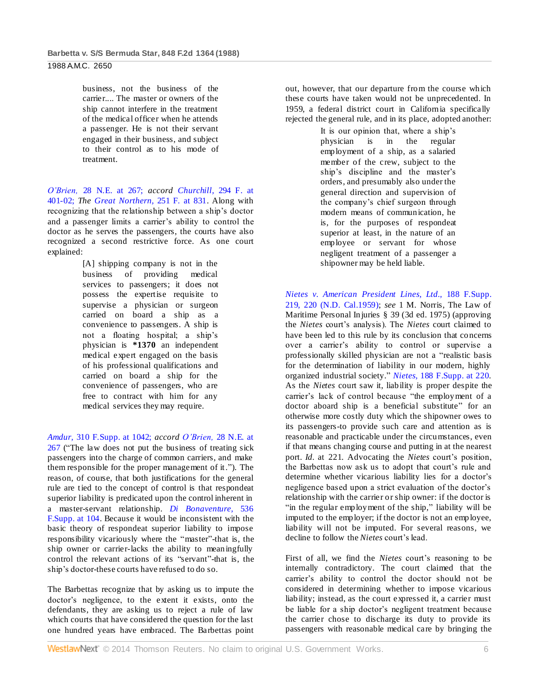business, not the business of the carrier.... The master or owners of the ship cannot interfere in the treatment of the medical officer when he attends a passenger. He is not their servant engaged in their business, and subject to their control as to his mode of treatment.

*O'Brien,* [28 N.E. at 267;](http://www.westlaw.com/Link/Document/FullText?findType=Y&serNum=1891010408&pubNum=577&fi=co_pp_sp_577_267&originationContext=document&vr=3.0&rs=cblt1.0&transitionType=DocumentItem&contextData=(sc.Default)#co_pp_sp_577_267) *accord [Churchill,](http://www.westlaw.com/Link/Document/FullText?findType=Y&serNum=1924125748&pubNum=348&fi=co_pp_sp_348_401&originationContext=document&vr=3.0&rs=cblt1.0&transitionType=DocumentItem&contextData=(sc.Default)#co_pp_sp_348_401)* 294 F. at [401-02;](http://www.westlaw.com/Link/Document/FullText?findType=Y&serNum=1924125748&pubNum=348&fi=co_pp_sp_348_401&originationContext=document&vr=3.0&rs=cblt1.0&transitionType=DocumentItem&contextData=(sc.Default)#co_pp_sp_348_401) *The [Great Northern,](http://www.westlaw.com/Link/Document/FullText?findType=Y&serNum=1918100536&pubNum=348&fi=co_pp_sp_348_831&originationContext=document&vr=3.0&rs=cblt1.0&transitionType=DocumentItem&contextData=(sc.Default)#co_pp_sp_348_831)* 251 F. at 831. Along with recognizing that the relationship between a ship's doctor and a passenger limits a carrier's ability to control the doctor as he serves the passengers, the courts have also recognized a second restrictive force. As one court explained:

> [A] shipping company is not in the business of providing medical services to passengers; it does not possess the expertise requisite to supervise a physician or surgeon carried on board a ship as a convenience to passengers. A ship is not a floating hospital; a ship's physician is **\*1370** an independent medical expert engaged on the basis of his professional qualifications and carried on board a ship for the convenience of passengers, who are free to contract with him for any medical services they may require.

*Amdur,* [310 F.Supp. at 1042;](http://www.westlaw.com/Link/Document/FullText?findType=Y&serNum=1969116556&pubNum=345&fi=co_pp_sp_345_1042&originationContext=document&vr=3.0&rs=cblt1.0&transitionType=DocumentItem&contextData=(sc.Default)#co_pp_sp_345_1042) *accord O'Brien,* [28 N.E. at](http://www.westlaw.com/Link/Document/FullText?findType=Y&serNum=1891010408&pubNum=577&fi=co_pp_sp_577_267&originationContext=document&vr=3.0&rs=cblt1.0&transitionType=DocumentItem&contextData=(sc.Default)#co_pp_sp_577_267)  [267](http://www.westlaw.com/Link/Document/FullText?findType=Y&serNum=1891010408&pubNum=577&fi=co_pp_sp_577_267&originationContext=document&vr=3.0&rs=cblt1.0&transitionType=DocumentItem&contextData=(sc.Default)#co_pp_sp_577_267) ("The law does not put the business of treating sick passengers into the charge of common carriers, and make them responsible for the proper management of it."). The reason, of course, that both justifications for the general rule are tied to the concept of control is that respondeat superior liability is predicated upon the control inherent in a master-servant relationship. *[Di Bonaventure,](http://www.westlaw.com/Link/Document/FullText?findType=Y&serNum=1982117772&pubNum=345&fi=co_pp_sp_345_104&originationContext=document&vr=3.0&rs=cblt1.0&transitionType=DocumentItem&contextData=(sc.Default)#co_pp_sp_345_104)* 536 [F.Supp. at 104.](http://www.westlaw.com/Link/Document/FullText?findType=Y&serNum=1982117772&pubNum=345&fi=co_pp_sp_345_104&originationContext=document&vr=3.0&rs=cblt1.0&transitionType=DocumentItem&contextData=(sc.Default)#co_pp_sp_345_104) Because it would be inconsistent with the basic theory of respondeat superior liability to impose responsibility vicariously where the "master"-that is, the ship owner or carrier-lacks the ability to meaningfully control the relevant actions of its "servant"-that is, the ship's doctor-these courts have refused to do so.

The Barbettas recognize that by asking us to impute the doctor's negligence, to the extent it exists, onto the defendants, they are asking us to reject a rule of law which courts that have considered the question for the last one hundred years have embraced. The Barbettas point out, however, that our departure from the course which these courts have taken would not be unprecedented. In 1959, a federal district court in California specifically rejected the general rule, and in its place, adopted another:

> It is our opinion that, where a ship's physician is in the regular employment of a ship, as a salaried member of the crew, subject to the ship's discipline and the master's orders, and presumably also under the general direction and supervision of the company's chief surgeon through modern means of communication, he is, for the purposes of respondeat superior at least, in the nature of an employee or servant for whose negligent treatment of a passenger a shipowner may be held liable.

*[Nietes v. American President Lines, Ltd.,](http://www.westlaw.com/Link/Document/FullText?findType=Y&serNum=1959109180&pubNum=345&fi=co_pp_sp_345_220&originationContext=document&vr=3.0&rs=cblt1.0&transitionType=DocumentItem&contextData=(sc.Default)#co_pp_sp_345_220)* 188 F.Supp. [219, 220 \(N.D. Cal.1959\);](http://www.westlaw.com/Link/Document/FullText?findType=Y&serNum=1959109180&pubNum=345&fi=co_pp_sp_345_220&originationContext=document&vr=3.0&rs=cblt1.0&transitionType=DocumentItem&contextData=(sc.Default)#co_pp_sp_345_220) *see* 1 M. Norris, The Law of Maritime Personal Injuries § 39 (3d ed. 1975) (approving the *Nietes* court's analysis). The *Nietes* court claimed to have been led to this rule by its conclusion that concerns over a carrier's ability to control or supervise a professionally skilled physician are not a "realistic basis for the determination of liability in our modern, highly organized industrial society." *Nietes,* [188 F.Supp. at 220.](http://www.westlaw.com/Link/Document/FullText?findType=Y&serNum=1959109180&pubNum=345&fi=co_pp_sp_345_220&originationContext=document&vr=3.0&rs=cblt1.0&transitionType=DocumentItem&contextData=(sc.Default)#co_pp_sp_345_220) As the *Nietes* court saw it, liability is proper despite the carrier's lack of control because "the employment of a doctor aboard ship is a beneficial substitute" for an otherwise more costly duty which the shipowner owes to its passengers-to provide such care and attention as is reasonable and practicable under the circumstances, even if that means changing course and putting in at the nearest port. *Id.* at 221. Advocating the *Nietes* court's position, the Barbettas now ask us to adopt that court's rule and determine whether vicarious liability lies for a doctor's negligence based upon a strict evaluation of the doctor's relationship with the carrier or ship owner: if the doctor is "in the regular employment of the ship," liability will be imputed to the employer; if the doctor is not an employee, liability will not be imputed. For several reasons, we decline to follow the *Nietes* court's lead.

First of all, we find the *Nietes* court's reasoning to be internally contradictory. The court claimed that the carrier's ability to control the doctor should not be considered in determining whether to impose vicarious liability; instead, as the court expressed it, a carrier must be liable for a ship doctor's negligent treatment because the carrier chose to discharge its duty to provide its passengers with reasonable medical care by bringing the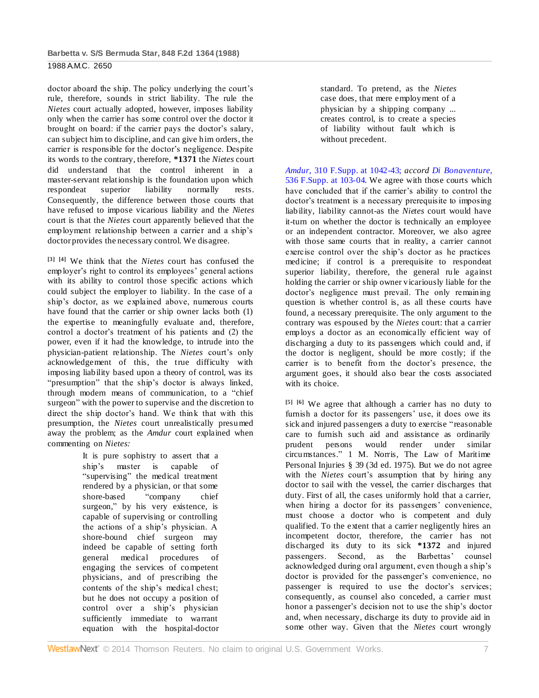doctor aboard the ship. The policy underlying the court's rule, therefore, sounds in strict liability. The rule the *Nietes* court actually adopted, however, imposes liability only when the carrier has some control over the doctor it brought on board: if the carrier pays the doctor's salary, can subject him to discipline, and can give him orders, the carrier is responsible for the doctor's negligence. Despite its words to the contrary, therefore, **\*1371** the *Nietes* court did understand that the control inherent in a master-servant relationship is the foundation upon which respondeat superior liability normally rests. Consequently, the difference between those courts that have refused to impose vicarious liability and the *Nietes* court is that the *Nietes* court apparently believed that the employment relationship between a carrier and a ship's doctor provides the necessary control. We disagree.

**[3] [4]** We think that the *Nietes* court has confused the employer's right to control its employees' general actions with its ability to control those specific actions which could subject the employer to liability. In the case of a ship's doctor, as we explained above, numerous courts have found that the carrier or ship owner lacks both (1) the expertise to meaningfully evaluate and, therefore, control a doctor's treatment of his patients and (2) the power, even if it had the knowledge, to intrude into the physician-patient relationship. The *Nietes* court's only acknowledgement of this, the true difficulty with imposing liability based upon a theory of control, was its "presumption" that the ship's doctor is always linked, through modern means of communication, to a "chief surgeon" with the power to supervise and the discretion to direct the ship doctor's hand. We think that with this presumption, the *Nietes* court unrealistically presumed away the problem; as the *Amdur* court explained when commenting on *Nietes:*

> It is pure sophistry to assert that a ship's master is capable of "supervising" the medical treatment rendered by a physician, or that some shore-based "company chief surgeon," by his very existence, is capable of supervising or controlling the actions of a ship's physician. A shore-bound chief surgeon may indeed be capable of setting forth general medical procedures of engaging the services of competent physicians, and of prescribing the contents of the ship's medical chest; but he does not occupy a position of control over a ship's physician sufficiently immediate to warrant equation with the hospital-doctor

standard. To pretend, as the *Nietes* case does, that mere employment of a physician by a shipping company ... creates control, is to create a species of liability without fault which is without precedent.

*Amdur,* [310 F.Supp. at 1042-43;](http://www.westlaw.com/Link/Document/FullText?findType=Y&serNum=1969116556&pubNum=345&fi=co_pp_sp_345_1042&originationContext=document&vr=3.0&rs=cblt1.0&transitionType=DocumentItem&contextData=(sc.Default)#co_pp_sp_345_1042) *accord [Di Bonaventure,](http://www.westlaw.com/Link/Document/FullText?findType=Y&serNum=1982117772&pubNum=345&fi=co_pp_sp_345_103&originationContext=document&vr=3.0&rs=cblt1.0&transitionType=DocumentItem&contextData=(sc.Default)#co_pp_sp_345_103)* [536 F.Supp. at 103-04.](http://www.westlaw.com/Link/Document/FullText?findType=Y&serNum=1982117772&pubNum=345&fi=co_pp_sp_345_103&originationContext=document&vr=3.0&rs=cblt1.0&transitionType=DocumentItem&contextData=(sc.Default)#co_pp_sp_345_103) We agree with those courts which have concluded that if the carrier's ability to control the doctor's treatment is a necessary prerequisite to imposing liability, liability cannot-as the *Nietes* court would have it-turn on whether the doctor is technically an employee or an independent contractor. Moreover, we also agree with those same courts that in reality, a carrier cannot exercise control over the ship's doctor as he practices medicine; if control is a prerequisite to respondeat superior liability, therefore, the general rule against holding the carrier or ship owner vicariously liable for the doctor's negligence must prevail. The only remaining question is whether control is, as all these courts have found, a necessary prerequisite. The only argument to the contrary was espoused by the *Nietes* court: that a carrier employs a doctor as an economically efficient way of discharging a duty to its passengers which could and, if the doctor is negligent, should be more costly; if the carrier is to benefit from the doctor's presence, the argument goes, it should also bear the costs associated with its choice.

**[5] [6]** We agree that although a carrier has no duty to furnish a doctor for its passengers' use, it does owe its sick and injured passengers a duty to exercise "reasonable care to furnish such aid and assistance as ordinarily prudent persons would render under similar circumstances." 1 M. Norris, The Law of Maritime Personal Injuries § 39 (3d ed. 1975). But we do not agree with the *Nietes* court's assumption that by hiring any doctor to sail with the vessel, the carrier discharges that duty. First of all, the cases uniformly hold that a carrier, when hiring a doctor for its passengers' convenience, must choose a doctor who is competent and duly qualified. To the extent that a carrier negligently hires an incompetent doctor, therefore, the carrier has not discharged its duty to its sick **\*1372** and injured passengers. Second, as the Barbettas' counsel acknowledged during oral argument, even though a ship's doctor is provided for the passenger's convenience, no passenger is required to use the doctor's services; consequently, as counsel also conceded, a carrier must honor a passenger's decision not to use the ship's doctor and, when necessary, discharge its duty to provide aid in some other way. Given that the *Nietes* court wrongly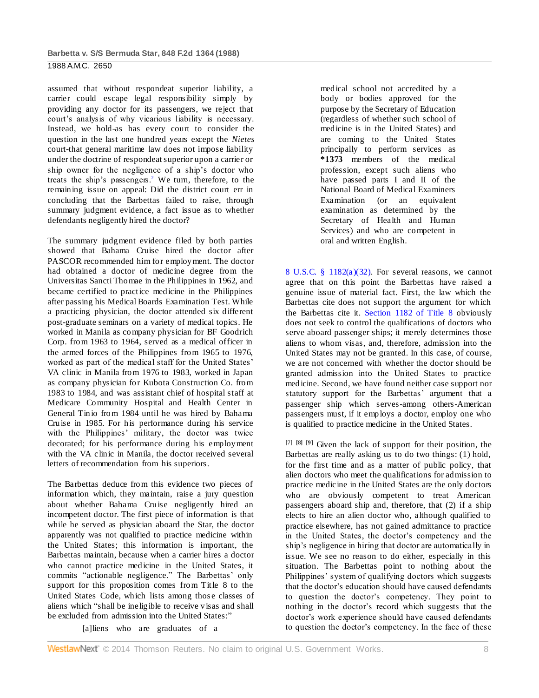assumed that without respondeat superior liability, a carrier could escape legal responsibility simply by providing any doctor for its passengers, we reject that court's analysis of why vicarious liability is necessary. Instead, we hold-as has every court to consider the question in the last one hundred years except the *Nietes* court-that general maritime law does not impose liability under the doctrine of respondeat superior upon a carrier or ship owner for the negligence of a ship's doctor who treats the ship's passengers.<sup>2</sup> We turn, therefore, to the remaining issue on appeal: Did the district court err in concluding that the Barbettas failed to raise, through summary judgment evidence, a fact issue as to whether defendants negligently hired the doctor?

The summary judgment evidence filed by both parties showed that Bahama Cruise hired the doctor after PASCOR recommended him for employment. The doctor had obtained a doctor of medicine degree from the Universitas Sancti Thomae in the Philippines in 1962, and became certified to practice medicine in the Philippines after passing his Medical Boards Examination Test. While a practicing physician, the doctor attended six different post-graduate seminars on a variety of medical topics. He worked in Manila as company physician for BF Goodrich Corp. from 1963 to 1964, served as a medical officer in the armed forces of the Philippines from 1965 to 1976, worked as part of the medical staff for the United States' VA clinic in Manila from 1976 to 1983, worked in Japan as company physician for Kubota Construction Co. from 1983 to 1984, and was assistant chief of hospital staff at Medicare Community Hospital and Health Center in General Tinio from 1984 until he was hired by Bahama Cruise in 1985. For his performance during his service with the Philippines' military, the doctor was twice decorated; for his performance during his employment with the VA clinic in Manila, the doctor received several letters of recommendation from his superiors.

The Barbettas deduce from this evidence two pieces of information which, they maintain, raise a jury question about whether Bahama Cruise negligently hired an incompetent doctor. The first piece of information is that while he served as physician aboard the Star, the doctor apparently was not qualified to practice medicine within the United States; this information is important, the Barbettas maintain, because when a carrier hires a doctor who cannot practice medicine in the United States, it commits "actionable negligence." The Barbettas' only support for this proposition comes from Title 8 to the United States Code, which lists among those classes of aliens which "shall be ineligible to receive visas and shall be excluded from admission into the United States:'

medical school not accredited by a body or bodies approved for the purpose by the Secretary of Education (regardless of whether such school of medicine is in the United States) and are coming to the United States principally to perform services as **\*1373** members of the medical profession, except such aliens who have passed parts I and II of the National Board of Medical Examiners Examination (or an equivalent examination as determined by the Secretary of Health and Human Services) and who are competent in oral and written English.

8 U.S.C. §  $1182(a)(32)$ . For several reasons, we cannot agree that on this point the Barbettas have raised a genuine issue of material fact. First, the law which the Barbettas cite does not support the argument for which the Barbettas cite it. [Section 1182 of Title 8](http://www.westlaw.com/Link/Document/FullText?findType=L&pubNum=1000546&cite=8USCAS1182&originatingDoc=I6c4bbad7958d11d9bdd1cfdd544ca3a4&refType=LQ&originationContext=document&vr=3.0&rs=cblt1.0&transitionType=DocumentItem&contextData=(sc.Default)) obviously does not seek to control the qualifications of doctors who serve aboard passenger ships; it merely determines those aliens to whom visas, and, therefore, admission into the United States may not be granted. In this case, of course, we are not concerned with whether the doctor should be granted admission into the United States to practice medicine. Second, we have found neither case support nor statutory support for the Barbettas' argument that a passenger ship which serves-among others-American passengers must, if it employs a doctor, employ one who is qualified to practice medicine in the United States.

**[7] [8] [9]** Given the lack of support for their position, the Barbettas are really asking us to do two things: (1) hold, for the first time and as a matter of public policy, that alien doctors who meet the qualifications for admission to practice medicine in the United States are the only doctors who are obviously competent to treat American passengers aboard ship and, therefore, that (2) if a ship elects to hire an alien doctor who, although qualified to practice elsewhere, has not gained admittance to practice in the United States, the doctor's competency and the ship's negligence in hiring that doctor are automatically in issue. We see no reason to do either, especially in this situation. The Barbettas point to nothing about the Philippines' system of qualifying doctors which suggests that the doctor's education should have caused defendants to question the doctor's competency. They point to nothing in the doctor's record which suggests that the doctor's work experience should have caused defendants to question the doctor's competency. In the face of these

[a]liens who are graduates of a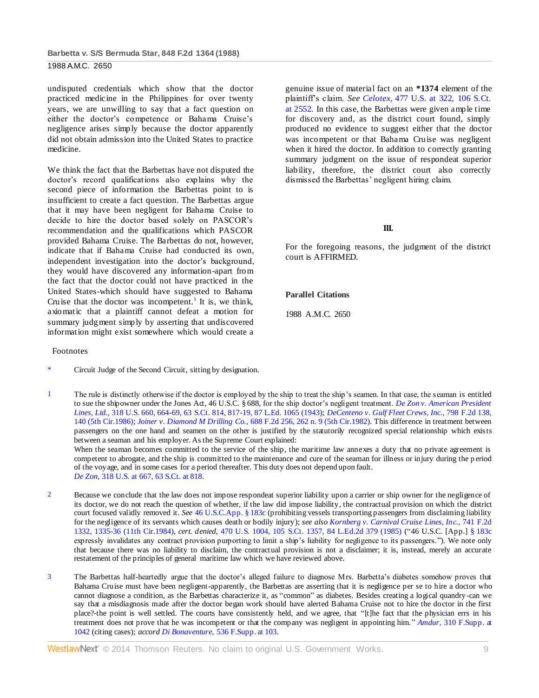undisputed credentials which show that the doctor practiced medicine in the Philippines for over twenty years, we are unwilling to say that a fact question on either the doctor's competence or Bahama Cruise's negligence arises simply because the doctor apparently did not obtain admission into the United States to practice medicine.

We think the fact that the Barbettas have not disputed the doctor's record qualifications also explains why the second piece of information the Barbettas point to is insufficient to create a fact question. The Barbettas argue that it may have been negligent for Bahama Cruise to decide to hire the doctor based solely on PASCOR's recommendation and the qualifications which PASCOR provided Bahama Cruise. The Barbettas do not, however, indicate that if Bahama Cruise had conducted its own, independent investigation into the doctor's background, they would have discovered any information-apart from the fact that the doctor could not have practiced in the United States-which should have suggested to Bahama Cruise that the doctor was incompetent.<sup>3</sup> It is, we think, axiomatic that a plaintiff cannot defeat a motion for summary judgment simply by asserting that undiscovered information might exist somewhere which would create a

#### Footnotes

Circuit Judge of the Second Circuit, sitting by designation.

genuine issue of material fact on an **\*1374** element of the plaintiff's claim. *See Celotex,* [477 U.S. at 322, 106 S.Ct.](http://www.westlaw.com/Link/Document/FullText?findType=Y&serNum=1986132677&pubNum=708&fi=co_pp_sp_708_2552&originationContext=document&vr=3.0&rs=cblt1.0&transitionType=DocumentItem&contextData=(sc.Default)#co_pp_sp_708_2552)  [at 2552.](http://www.westlaw.com/Link/Document/FullText?findType=Y&serNum=1986132677&pubNum=708&fi=co_pp_sp_708_2552&originationContext=document&vr=3.0&rs=cblt1.0&transitionType=DocumentItem&contextData=(sc.Default)#co_pp_sp_708_2552) In this case, the Barbettas were given ample time for discovery and, as the district court found, simply produced no evidence to suggest either that the doctor was incompetent or that Bahama Cruise was negligent when it hired the doctor. In addition to correctly granting summary judgment on the issue of respondeat superior liability, therefore, the district court also correctly dismissed the Barbettas' negligent hiring claim.

#### **III.**

For the foregoing reasons, the judgment of the district court is AFFIRMED.

#### **Parallel Citations**

1988 A.M.C. 2650

1 The rule is distinctly otherwise if the doctor is employed by the ship to treat the ship's seamen. In that case, the seaman is entitled to sue the shipowner under the Jones Act, 46 U.S.C. § 688, for the ship doctor's negligent treatment. *[De Zon v. American President](http://www.westlaw.com/Link/Document/FullText?findType=Y&serNum=1943120390&pubNum=708&fi=co_pp_sp_708_817&originationContext=document&vr=3.0&rs=cblt1.0&transitionType=DocumentItem&contextData=(sc.Default)#co_pp_sp_708_817)  Lines, Ltd.,* [318 U.S. 660, 664-69, 63 S.Ct. 814, 817-19, 87 L.Ed. 1065 \(1943\);](http://www.westlaw.com/Link/Document/FullText?findType=Y&serNum=1943120390&pubNum=708&fi=co_pp_sp_708_817&originationContext=document&vr=3.0&rs=cblt1.0&transitionType=DocumentItem&contextData=(sc.Default)#co_pp_sp_708_817) *[DeCenteno v. Gulf Fleet Crews, Inc.,](http://www.westlaw.com/Link/Document/FullText?findType=Y&serNum=1986143107&pubNum=350&fi=co_pp_sp_350_140&originationContext=document&vr=3.0&rs=cblt1.0&transitionType=DocumentItem&contextData=(sc.Default)#co_pp_sp_350_140)* 798 F.2d 138, [140 \(5th Cir.1986\);](http://www.westlaw.com/Link/Document/FullText?findType=Y&serNum=1986143107&pubNum=350&fi=co_pp_sp_350_140&originationContext=document&vr=3.0&rs=cblt1.0&transitionType=DocumentItem&contextData=(sc.Default)#co_pp_sp_350_140) *Joiner v. Diamond M Drilling Co.,* [688 F.2d 256, 262 n. 9 \(5th Cir.1982\).](http://www.westlaw.com/Link/Document/FullText?findType=Y&serNum=1982140567&pubNum=350&fi=co_pp_sp_350_262&originationContext=document&vr=3.0&rs=cblt1.0&transitionType=DocumentItem&contextData=(sc.Default)#co_pp_sp_350_262) This difference in treatment between passengers on the one hand and seamen on the other is justified by the statutorily recognized special relationship which exists between a seaman and his employer. As the Supreme Court explained: When the seaman becomes committed to the service of the ship, the maritime law annexes a duty that no private agreement is

competent to abrogate, and the ship is committed to the maintenance and cure of the seaman for illness or injury during the p eriod of the voyage, and in some cases for a period thereafter. This duty does not depend upon fault. *De Zon,* [318 U.S. at 667, 63 S.Ct. at 818.](http://www.westlaw.com/Link/Document/FullText?findType=Y&serNum=1943120390&pubNum=708&fi=co_pp_sp_708_818&originationContext=document&vr=3.0&rs=cblt1.0&transitionType=DocumentItem&contextData=(sc.Default)#co_pp_sp_708_818)

- 2 Because we conclude that the law does not impose respondeat superior liability upon a carrier or ship owner for the negligence of its doctor, we do not reach the question of whether, if the law did impose liability, the contractual provision on which the district court focused validly removed it. *See* [46 U.S.C.App. § 183c](http://www.westlaw.com/Link/Document/FullText?findType=L&pubNum=1000866&cite=46APPUSCAS183C&originatingDoc=I6c4bbad7958d11d9bdd1cfdd544ca3a4&refType=LQ&originationContext=document&vr=3.0&rs=cblt1.0&transitionType=DocumentItem&contextData=(sc.Default)) (prohibiting vessels transporting passengers from disclaiming liability for the negligence of its servants which causes death or bodily injury); *see also [Kornberg v. Carnival Cruise Lines, Inc.,](http://www.westlaw.com/Link/Document/FullText?findType=Y&serNum=1984141050&pubNum=350&fi=co_pp_sp_350_1335&originationContext=document&vr=3.0&rs=cblt1.0&transitionType=DocumentItem&contextData=(sc.Default)#co_pp_sp_350_1335)* 741 F.2d [1332, 1335-36 \(11th Cir.1984\),](http://www.westlaw.com/Link/Document/FullText?findType=Y&serNum=1984141050&pubNum=350&fi=co_pp_sp_350_1335&originationContext=document&vr=3.0&rs=cblt1.0&transitionType=DocumentItem&contextData=(sc.Default)#co_pp_sp_350_1335) *cert. denied,* [470 U.S. 1004, 105 S.Ct. 1357, 84 L.Ed.2d 379 \(1985\)](http://www.westlaw.com/Link/Document/FullText?findType=Y&serNum=1985212606&pubNum=708&originationContext=document&vr=3.0&rs=cblt1.0&transitionType=DocumentItem&contextData=(sc.Default)) ("46 U.S.C. [App.[\] § 183c](http://www.westlaw.com/Link/Document/FullText?findType=L&pubNum=1000866&cite=46APPUSCAS183C&originatingDoc=I6c4bbad7958d11d9bdd1cfdd544ca3a4&refType=LQ&originationContext=document&vr=3.0&rs=cblt1.0&transitionType=DocumentItem&contextData=(sc.Default)) expressly invalidates any contract provision purporting to limit a ship's liability for negligence to its passengers."). We note only that because there was no liability to disclaim, the contractual provision is not a disclaimer; it is, instead, merely an accurate restatement of the principles of general maritime law which we have reviewed above.
- 3 The Barbettas half-heartedly argue that the doctor's alleged failure to diagnose Mrs. Barbetta's diabetes somehow proves that Bahama Cruise must have been negligent-apparently, the Barbettas are asserting that it is negligence per se to hire a doctor who cannot diagnose a condition, as the Barbettas characterize it, as "common" as diabetes. Besides creating a logical quandry-can we say that a misdiagnosis made after the doctor began work should have alerted Bahama Cruise not to hire the doctor in the first place?-the point is well settled. The courts have consistently held, and we agree, that "[t]he fact that the physician errs in his treatment does not prove that he was incompetent or that the company was negligent in appointing him." *Amdur,* [310 F.Supp. at](http://www.westlaw.com/Link/Document/FullText?findType=Y&serNum=1969116556&pubNum=345&fi=co_pp_sp_345_1042&originationContext=document&vr=3.0&rs=cblt1.0&transitionType=DocumentItem&contextData=(sc.Default)#co_pp_sp_345_1042)  [1042](http://www.westlaw.com/Link/Document/FullText?findType=Y&serNum=1969116556&pubNum=345&fi=co_pp_sp_345_1042&originationContext=document&vr=3.0&rs=cblt1.0&transitionType=DocumentItem&contextData=(sc.Default)#co_pp_sp_345_1042) (citing cases); *accord Di Bonaventure,* [536 F.Supp. at 103.](http://www.westlaw.com/Link/Document/FullText?findType=Y&serNum=1982117772&pubNum=345&fi=co_pp_sp_345_103&originationContext=document&vr=3.0&rs=cblt1.0&transitionType=DocumentItem&contextData=(sc.Default)#co_pp_sp_345_103)